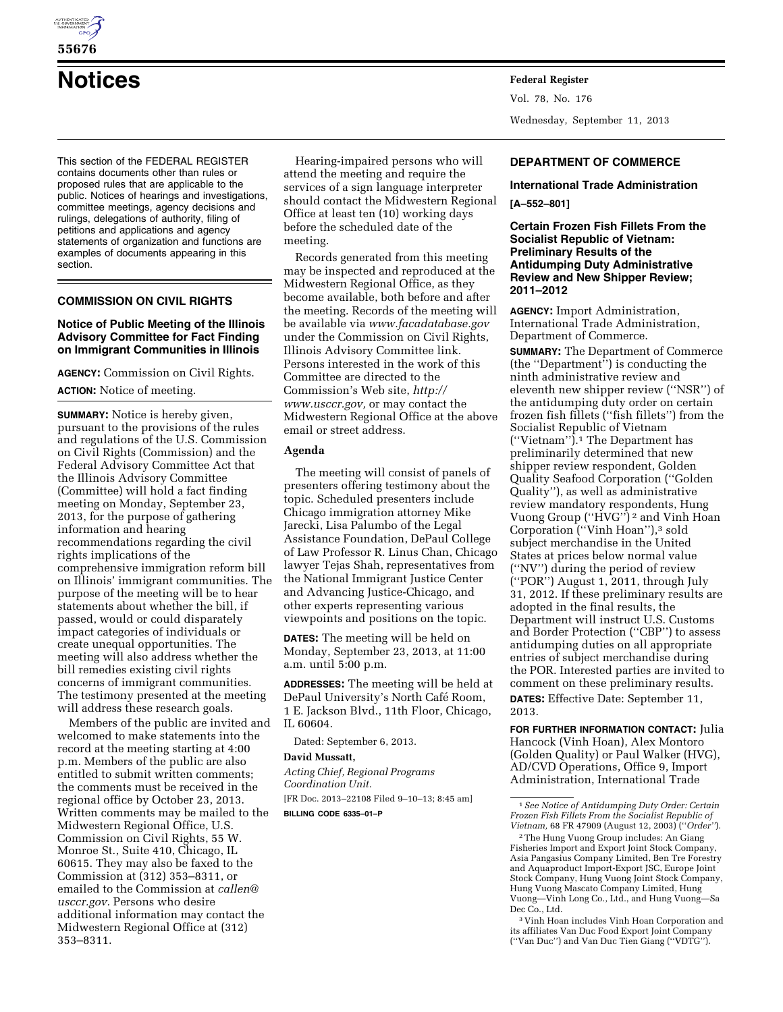

# **Notices Federal Register**

This section of the FEDERAL REGISTER contains documents other than rules or proposed rules that are applicable to the public. Notices of hearings and investigations, committee meetings, agency decisions and rulings, delegations of authority, filing of petitions and applications and agency statements of organization and functions are examples of documents appearing in this section.

# **COMMISSION ON CIVIL RIGHTS**

#### **Notice of Public Meeting of the Illinois Advisory Committee for Fact Finding on Immigrant Communities in Illinois**

**AGENCY:** Commission on Civil Rights.

# **ACTION:** Notice of meeting.

**SUMMARY:** Notice is hereby given, pursuant to the provisions of the rules and regulations of the U.S. Commission on Civil Rights (Commission) and the Federal Advisory Committee Act that the Illinois Advisory Committee (Committee) will hold a fact finding meeting on Monday, September 23, 2013, for the purpose of gathering information and hearing recommendations regarding the civil rights implications of the comprehensive immigration reform bill on Illinois' immigrant communities. The purpose of the meeting will be to hear statements about whether the bill, if passed, would or could disparately impact categories of individuals or create unequal opportunities. The meeting will also address whether the bill remedies existing civil rights concerns of immigrant communities. The testimony presented at the meeting will address these research goals.

Members of the public are invited and welcomed to make statements into the record at the meeting starting at 4:00 p.m. Members of the public are also entitled to submit written comments; the comments must be received in the regional office by October 23, 2013. Written comments may be mailed to the Midwestern Regional Office, U.S. Commission on Civil Rights, 55 W. Monroe St., Suite 410, Chicago, IL 60615. They may also be faxed to the Commission at (312) 353–8311, or emailed to the Commission at *[callen@](mailto:callen@usccr.gov) [usccr.gov.](mailto:callen@usccr.gov)* Persons who desire additional information may contact the Midwestern Regional Office at (312) 353–8311.

Hearing-impaired persons who will attend the meeting and require the services of a sign language interpreter should contact the Midwestern Regional Office at least ten (10) working days before the scheduled date of the meeting.

Records generated from this meeting may be inspected and reproduced at the Midwestern Regional Office, as they become available, both before and after the meeting. Records of the meeting will be available via *[www.facadatabase.gov](http://www.facadatabase.gov)*  under the Commission on Civil Rights, Illinois Advisory Committee link. Persons interested in the work of this Committee are directed to the Commission's Web site, *[http://](http://www.usccr.gov) [www.usccr.gov,](http://www.usccr.gov)* or may contact the Midwestern Regional Office at the above email or street address.

# **Agenda**

The meeting will consist of panels of presenters offering testimony about the topic. Scheduled presenters include Chicago immigration attorney Mike Jarecki, Lisa Palumbo of the Legal Assistance Foundation, DePaul College of Law Professor R. Linus Chan, Chicago lawyer Tejas Shah, representatives from the National Immigrant Justice Center and Advancing Justice-Chicago, and other experts representing various viewpoints and positions on the topic.

**DATES:** The meeting will be held on Monday, September 23, 2013, at 11:00 a.m. until 5:00 p.m.

**ADDRESSES:** The meeting will be held at DePaul University's North Café Room, 1 E. Jackson Blvd., 11th Floor, Chicago, IL 60604.

Dated: September 6, 2013.

#### **David Mussatt,**

*Acting Chief, Regional Programs Coordination Unit.*  [FR Doc. 2013–22108 Filed 9–10–13; 8:45 am] **BILLING CODE 6335–01–P** 

Vol. 78, No. 176 Wednesday, September 11, 2013

### **DEPARTMENT OF COMMERCE**

#### **International Trade Administration**

#### **[A–552–801]**

**Certain Frozen Fish Fillets From the Socialist Republic of Vietnam: Preliminary Results of the Antidumping Duty Administrative Review and New Shipper Review; 2011–2012** 

**AGENCY:** Import Administration, International Trade Administration, Department of Commerce.

**SUMMARY:** The Department of Commerce (the ''Department'') is conducting the ninth administrative review and eleventh new shipper review (''NSR'') of the antidumping duty order on certain frozen fish fillets (''fish fillets'') from the Socialist Republic of Vietnam (''Vietnam'').1 The Department has preliminarily determined that new shipper review respondent, Golden Quality Seafood Corporation (''Golden Quality''), as well as administrative review mandatory respondents, Hung Vuong Group (''HVG'') 2 and Vinh Hoan Corporation (''Vinh Hoan''),3 sold subject merchandise in the United States at prices below normal value (''NV'') during the period of review (''POR'') August 1, 2011, through July 31, 2012. If these preliminary results are adopted in the final results, the Department will instruct U.S. Customs and Border Protection (''CBP'') to assess antidumping duties on all appropriate entries of subject merchandise during the POR. Interested parties are invited to comment on these preliminary results. **DATES:** Effective Date: September 11, 2013.

**FOR FURTHER INFORMATION CONTACT:** Julia Hancock (Vinh Hoan), Alex Montoro (Golden Quality) or Paul Walker (HVG), AD/CVD Operations, Office 9, Import Administration, International Trade

3 Vinh Hoan includes Vinh Hoan Corporation and its affiliates Van Duc Food Export Joint Company (''Van Duc'') and Van Duc Tien Giang (''VDTG'').

<sup>1</sup>*See Notice of Antidumping Duty Order: Certain Frozen Fish Fillets From the Socialist Republic of Vietnam,* 68 FR 47909 (August 12, 2003) (''*Order''*).

<sup>2</sup>The Hung Vuong Group includes: An Giang Fisheries Import and Export Joint Stock Company, Asia Pangasius Company Limited, Ben Tre Forestry and Aquaproduct Import-Export JSC, Europe Joint Stock Company, Hung Vuong Joint Stock Company, Hung Vuong Mascato Company Limited, Hung Vuong—Vinh Long Co., Ltd., and Hung Vuong—Sa Dec Co., Ltd.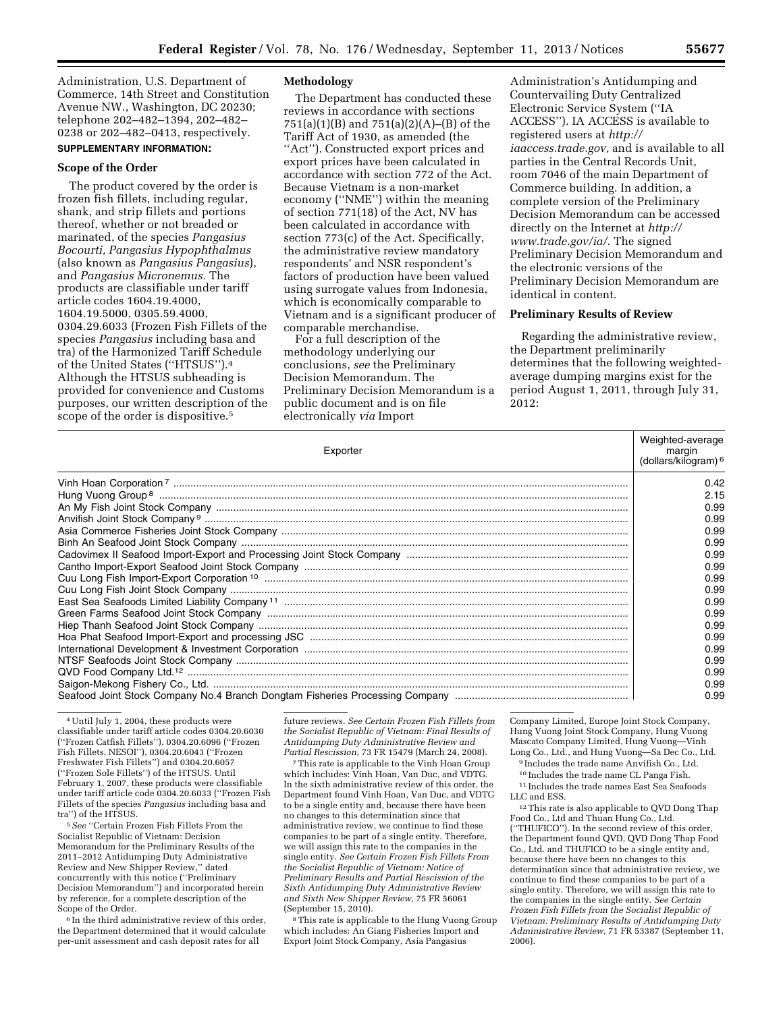Administration, U.S. Department of Commerce, 14th Street and Constitution Avenue NW., Washington, DC 20230; telephone 202–482–1394, 202–482– 0238 or 202–482–0413, respectively.

# **SUPPLEMENTARY INFORMATION:**

# **Scope of the Order**

The product covered by the order is frozen fish fillets, including regular, shank, and strip fillets and portions thereof, whether or not breaded or marinated, of the species *Pangasius Bocourti, Pangasius Hypophthalmus*  (also known as *Pangasius Pangasius*), and *Pangasius Micronemus.* The products are classifiable under tariff article codes 1604.19.4000, 1604.19.5000, 0305.59.4000, 0304.29.6033 (Frozen Fish Fillets of the species *Pangasius* including basa and tra) of the Harmonized Tariff Schedule of the United States (''HTSUS'').4 Although the HTSUS subheading is provided for convenience and Customs purposes, our written description of the scope of the order is dispositive.<sup>5</sup>

#### **Methodology**

The Department has conducted these reviews in accordance with sections 751(a)(1)(B) and 751(a)(2)(A)–(B) of the Tariff Act of 1930, as amended (the ''Act''). Constructed export prices and export prices have been calculated in accordance with section 772 of the Act. Because Vietnam is a non-market economy (''NME'') within the meaning of section 771(18) of the Act, NV has been calculated in accordance with section 773(c) of the Act. Specifically, the administrative review mandatory respondents' and NSR respondent's factors of production have been valued using surrogate values from Indonesia, which is economically comparable to Vietnam and is a significant producer of comparable merchandise.

For a full description of the methodology underlying our conclusions, *see* the Preliminary Decision Memorandum. The Preliminary Decision Memorandum is a public document and is on file electronically *via* Import

Administration's Antidumping and Countervailing Duty Centralized Electronic Service System (''IA ACCESS''). IA ACCESS is available to registered users at *[http://](http://iaaccess.trade.gov) [iaaccess.trade.gov,](http://iaaccess.trade.gov)* and is available to all parties in the Central Records Unit, room 7046 of the main Department of Commerce building. In addition, a complete version of the Preliminary Decision Memorandum can be accessed directly on the Internet at *[http://](http://www.trade.gov/ia/) [www.trade.gov/ia/.](http://www.trade.gov/ia/)* The signed Preliminary Decision Memorandum and the electronic versions of the Preliminary Decision Memorandum are identical in content.

# **Preliminary Results of Review**

Regarding the administrative review, the Department preliminarily determines that the following weightedaverage dumping margins exist for the period August 1, 2011, through July 31, 2012:

| Exporter | Weighted-average<br>margin<br>(dollars/kilogram) <sup>6</sup> |
|----------|---------------------------------------------------------------|
|          | 0.42                                                          |
|          | 2.15                                                          |
|          | 0.99                                                          |
|          | 0.99                                                          |
|          | 0.99                                                          |
|          | 0.99                                                          |
|          | 0.99                                                          |
|          | 0.99                                                          |
|          | 0.99                                                          |
|          | 0.99                                                          |
|          | 0.99                                                          |
|          | 0.99                                                          |
|          | 0.99                                                          |
|          | 0.99                                                          |
|          | 0.99                                                          |
|          | 0.99                                                          |
|          | 0.99                                                          |
|          | 0.99                                                          |
|          | 0.99                                                          |

<sup>4</sup>Until July 1, 2004, these products were classifiable under tariff article codes 0304.20.6030 (''Frozen Catfish Fillets''), 0304.20.6096 (''Frozen Fish Fillets, NESOI''), 0304.20.6043 (''Frozen Freshwater Fish Fillets'') and 0304.20.6057 (''Frozen Sole Fillets'') of the HTSUS. Until February 1, 2007, these products were classifiable under tariff article code 0304.20.6033 (''Frozen Fish Fillets of the species *Pangasius* including basa and tra'') of the HTSUS.

5*See* ''Certain Frozen Fish Fillets From the Socialist Republic of Vietnam: Decision Memorandum for the Preliminary Results of the 2011–2012 Antidumping Duty Administrative Review and New Shipper Review,'' dated concurrently with this notice (''Preliminary Decision Memorandum'') and incorporated herein by reference, for a complete description of the Scope of the Order.

6 In the third administrative review of this order, the Department determined that it would calculate per-unit assessment and cash deposit rates for all

future reviews. *See Certain Frozen Fish Fillets from the Socialist Republic of Vietnam: Final Results of Antidumping Duty Administrative Review and Partial Rescission,* 73 FR 15479 (March 24, 2008).

7This rate is applicable to the Vinh Hoan Group which includes: Vinh Hoan, Van Duc, and VDTG. In the sixth administrative review of this order, the Department found Vinh Hoan, Van Duc, and VDTG to be a single entity and, because there have been no changes to this determination since that administrative review, we continue to find these companies to be part of a single entity. Therefore, we will assign this rate to the companies in the single entity. *See Certain Frozen Fish Fillets From the Socialist Republic of Vietnam: Notice of Preliminary Results and Partial Rescission of the Sixth Antidumping Duty Administrative Review and Sixth New Shipper Review,* 75 FR 56061 (September 15, 2010).

8This rate is applicable to the Hung Vuong Group which includes: An Giang Fisheries Import and Export Joint Stock Company, Asia Pangasius

Company Limited, Europe Joint Stock Company, Hung Vuong Joint Stock Company, Hung Vuong Mascato Company Limited, Hung Vuong—Vinh Long Co., Ltd., and Hung Vuong—Sa Dec Co., Ltd.

9 Includes the trade name Anvifish Co., Ltd. 10 Includes the trade name CL Panga Fish.

11 Includes the trade names East Sea Seafoods LLC and ESS.

12This rate is also applicable to QVD Dong Thap Food Co., Ltd and Thuan Hung Co., Ltd. (''THUFICO''). In the second review of this order, the Department found QVD, QVD Dong Thap Food Co., Ltd. and THUFICO to be a single entity and, because there have been no changes to this determination since that administrative review, we continue to find these companies to be part of a single entity. Therefore, we will assign this rate to the companies in the single entity. *See Certain Frozen Fish Fillets from the Socialist Republic of Vietnam: Preliminary Results of Antidumping Duty Administrative Review,* 71 FR 53387 (September 11, 2006).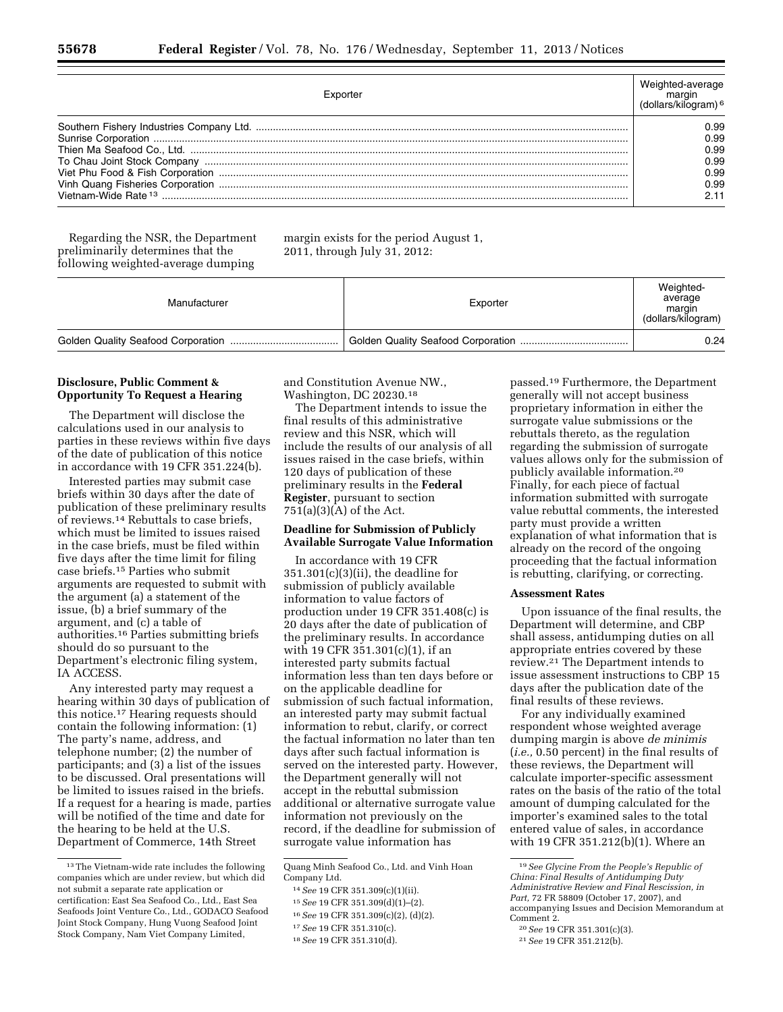| Exportei             |                                              |
|----------------------|----------------------------------------------|
| Vietnam-Wide Rate 13 | 0.99<br>0.99<br>0.99<br>0.99<br>0.99<br>0.99 |

Regarding the NSR, the Department preliminarily determines that the following weighted-average dumping

margin exists for the period August 1, 2011, through July 31, 2012:

| Manufacturer | Exporter | Weighted-<br>average<br>margin<br>(dollars/kilogram) |
|--------------|----------|------------------------------------------------------|
|              |          | 0.24                                                 |

#### **Disclosure, Public Comment & Opportunity To Request a Hearing**

The Department will disclose the calculations used in our analysis to parties in these reviews within five days of the date of publication of this notice in accordance with 19 CFR 351.224(b).

Interested parties may submit case briefs within 30 days after the date of publication of these preliminary results of reviews.14 Rebuttals to case briefs, which must be limited to issues raised in the case briefs, must be filed within five days after the time limit for filing case briefs.15 Parties who submit arguments are requested to submit with the argument (a) a statement of the issue, (b) a brief summary of the argument, and (c) a table of authorities.16 Parties submitting briefs should do so pursuant to the Department's electronic filing system, IA ACCESS.

Any interested party may request a hearing within 30 days of publication of this notice.17 Hearing requests should contain the following information: (1) The party's name, address, and telephone number; (2) the number of participants; and (3) a list of the issues to be discussed. Oral presentations will be limited to issues raised in the briefs. If a request for a hearing is made, parties will be notified of the time and date for the hearing to be held at the U.S. Department of Commerce, 14th Street

and Constitution Avenue NW., Washington, DC 20230.18

The Department intends to issue the final results of this administrative review and this NSR, which will include the results of our analysis of all issues raised in the case briefs, within 120 days of publication of these preliminary results in the **Federal Register**, pursuant to section  $751(a)(3)(A)$  of the Act.

#### **Deadline for Submission of Publicly Available Surrogate Value Information**

In accordance with 19 CFR 351.301(c)(3)(ii), the deadline for submission of publicly available information to value factors of production under 19 CFR 351.408(c) is 20 days after the date of publication of the preliminary results. In accordance with 19 CFR 351.301(c)(1), if an interested party submits factual information less than ten days before or on the applicable deadline for submission of such factual information, an interested party may submit factual information to rebut, clarify, or correct the factual information no later than ten days after such factual information is served on the interested party. However, the Department generally will not accept in the rebuttal submission additional or alternative surrogate value information not previously on the record, if the deadline for submission of surrogate value information has

- 16*See* 19 CFR 351.309(c)(2), (d)(2).
- 17*See* 19 CFR 351.310(c).

passed.19 Furthermore, the Department generally will not accept business proprietary information in either the surrogate value submissions or the rebuttals thereto, as the regulation regarding the submission of surrogate values allows only for the submission of publicly available information.20 Finally, for each piece of factual information submitted with surrogate value rebuttal comments, the interested party must provide a written explanation of what information that is already on the record of the ongoing proceeding that the factual information is rebutting, clarifying, or correcting.

#### **Assessment Rates**

Upon issuance of the final results, the Department will determine, and CBP shall assess, antidumping duties on all appropriate entries covered by these review.21 The Department intends to issue assessment instructions to CBP 15 days after the publication date of the final results of these reviews.

For any individually examined respondent whose weighted average dumping margin is above *de minimis*  (*i.e.,* 0.50 percent) in the final results of these reviews, the Department will calculate importer-specific assessment rates on the basis of the ratio of the total amount of dumping calculated for the importer's examined sales to the total entered value of sales, in accordance with 19 CFR 351.212(b)(1). Where an

<sup>13</sup>The Vietnam-wide rate includes the following companies which are under review, but which did not submit a separate rate application or certification: East Sea Seafood Co., Ltd., East Sea Seafoods Joint Venture Co., Ltd., GODACO Seafood Joint Stock Company, Hung Vuong Seafood Joint Stock Company, Nam Viet Company Limited,

Quang Minh Seafood Co., Ltd. and Vinh Hoan Company Ltd.

<sup>14</sup>*See* 19 CFR 351.309(c)(1)(ii).

<sup>15</sup>*See* 19 CFR 351.309(d)(1)–(2).

<sup>18</sup>*See* 19 CFR 351.310(d).

<sup>19</sup>*See Glycine From the People's Republic of China: Final Results of Antidumping Duty Administrative Review and Final Rescission, in Part,* 72 FR 58809 (October 17, 2007), and accompanying Issues and Decision Memorandum at Comment 2.

<sup>20</sup>*See* 19 CFR 351.301(c)(3).

<sup>21</sup>*See* 19 CFR 351.212(b).